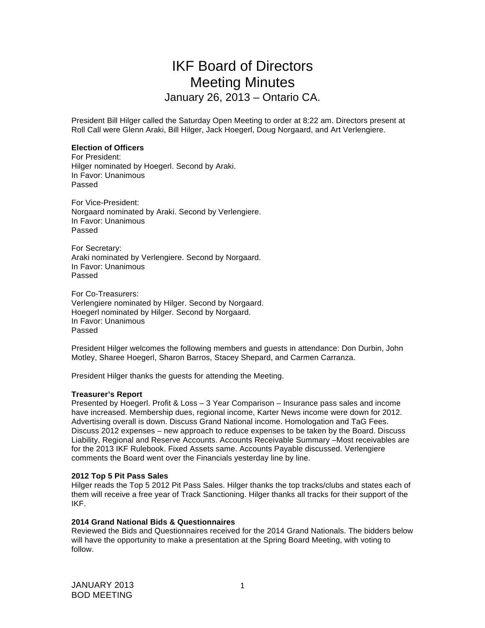# IKF Board of Directors Meeting Minutes January 26, 2013 – Ontario CA.

President Bill Hilger called the Saturday Open Meeting to order at 8:22 am. Directors present at Roll Call were Glenn Araki, Bill Hilger, Jack Hoegerl, Doug Norgaard, and Art Verlengiere.

## **Election of Officers**

For President: Hilger nominated by Hoegerl. Second by Araki. In Favor: Unanimous Passed

For Vice-President: Norgaard nominated by Araki. Second by Verlengiere. In Favor: Unanimous Passed

For Secretary: Araki nominated by Verlengiere. Second by Norgaard. In Favor: Unanimous Passed

For Co-Treasurers: Verlengiere nominated by Hilger. Second by Norgaard. Hoegerl nominated by Hilger. Second by Norgaard. In Favor: Unanimous Passed

President Hilger welcomes the following members and guests in attendance: Don Durbin, John Motley, Sharee Hoegerl, Sharon Barros, Stacey Shepard, and Carmen Carranza.

President Hilger thanks the guests for attending the Meeting.

#### **Treasurer's Report**

Presented by Hoegerl. Profit & Loss – 3 Year Comparison – Insurance pass sales and income have increased. Membership dues, regional income, Karter News income were down for 2012. Advertising overall is down. Discuss Grand National income. Homologation and TaG Fees. Discuss 2012 expenses – new approach to reduce expenses to be taken by the Board. Discuss Liability, Regional and Reserve Accounts. Accounts Receivable Summary –Most receivables are for the 2013 IKF Rulebook. Fixed Assets same. Accounts Payable discussed. Verlengiere comments the Board went over the Financials yesterday line by line.

#### **2012 Top 5 Pit Pass Sales**

Hilger reads the Top 5 2012 Pit Pass Sales. Hilger thanks the top tracks/clubs and states each of them will receive a free year of Track Sanctioning. Hilger thanks all tracks for their support of the IKF.

#### **2014 Grand National Bids & Questionnaires**

Reviewed the Bids and Questionnaires received for the 2014 Grand Nationals. The bidders below will have the opportunity to make a presentation at the Spring Board Meeting, with voting to follow.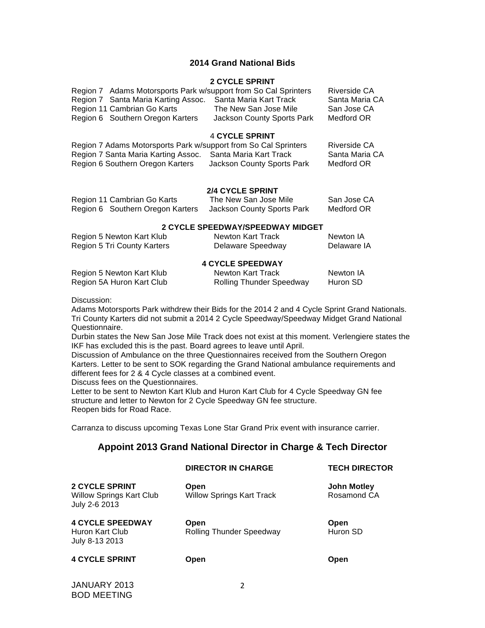## **2014 Grand National Bids**

#### **2 CYCLE SPRINT**

| Region 7 Adams Motorsports Park w/support from So Cal Sprinters |                            | Riverside CA   |
|-----------------------------------------------------------------|----------------------------|----------------|
| Region 7 Santa Maria Karting Assoc.                             | Santa Maria Kart Track     | Santa Maria CA |
| Region 11 Cambrian Go Karts                                     | The New San Jose Mile      | San Jose CA    |
| Region 6 Southern Oregon Karters                                | Jackson County Sports Park | Medford OR     |
|                                                                 |                            |                |

#### 4 **CYCLE SPRINT**

| Region 7 Adams Motorsports Park w/support from So Cal Sprinters |                            | Riverside CA   |
|-----------------------------------------------------------------|----------------------------|----------------|
| Region 7 Santa Maria Karting Assoc.                             | Santa Maria Kart Track     | Santa Maria CA |
| Region 6 Southern Oregon Karters                                | Jackson County Sports Park | Medford OR     |

#### **2/4 CYCLE SPRINT**

| Region 11 Cambrian Go Karts      | The New San Jose Mile      | San Jose CA |
|----------------------------------|----------------------------|-------------|
| Region 6 Southern Oregon Karters | Jackson County Sports Park | Medford OR  |

## **2 CYCLE SPEEDWAY/SPEEDWAY MIDGET**

| Region 5 Newton Kart Klub   | Newton Kart Track | Newton IA   |
|-----------------------------|-------------------|-------------|
| Region 5 Tri County Karters | Delaware Speedway | Delaware IA |

# **4 CYCLE SPEEDWAY**

| Region 5 Newton Kart Klub | Newton Kart Track               | Newton IA |
|---------------------------|---------------------------------|-----------|
| Region 5A Huron Kart Club | <b>Rolling Thunder Speedway</b> | Huron SD  |

Discussion:

Adams Motorsports Park withdrew their Bids for the 2014 2 and 4 Cycle Sprint Grand Nationals. Tri County Karters did not submit a 2014 2 Cycle Speedway/Speedway Midget Grand National Questionnaire.

Durbin states the New San Jose Mile Track does not exist at this moment. Verlengiere states the IKF has excluded this is the past. Board agrees to leave until April.

Discussion of Ambulance on the three Questionnaires received from the Southern Oregon Karters. Letter to be sent to SOK regarding the Grand National ambulance requirements and different fees for 2 & 4 Cycle classes at a combined event.

Discuss fees on the Questionnaires.

Letter to be sent to Newton Kart Klub and Huron Kart Club for 4 Cycle Speedway GN fee structure and letter to Newton for 2 Cycle Speedway GN fee structure. Reopen bids for Road Race.

Carranza to discuss upcoming Texas Lone Star Grand Prix event with insurance carrier.

# **Appoint 2013 Grand National Director in Charge & Tech Director**

|                                                                           | <b>DIRECTOR IN CHARGE</b>                | <b>TECH DIRECTOR</b>              |
|---------------------------------------------------------------------------|------------------------------------------|-----------------------------------|
| <b>2 CYCLE SPRINT</b><br><b>Willow Springs Kart Club</b><br>July 2-6 2013 | Open<br><b>Willow Springs Kart Track</b> | <b>John Motley</b><br>Rosamond CA |
| <b>4 CYCLE SPEEDWAY</b><br>Huron Kart Club<br>July 8-13 2013              | Open<br><b>Rolling Thunder Speedway</b>  | Open<br>Huron SD                  |
| <b>4 CYCLE SPRINT</b>                                                     | Open                                     | Open                              |

JANUARY 2013 BOD MEETING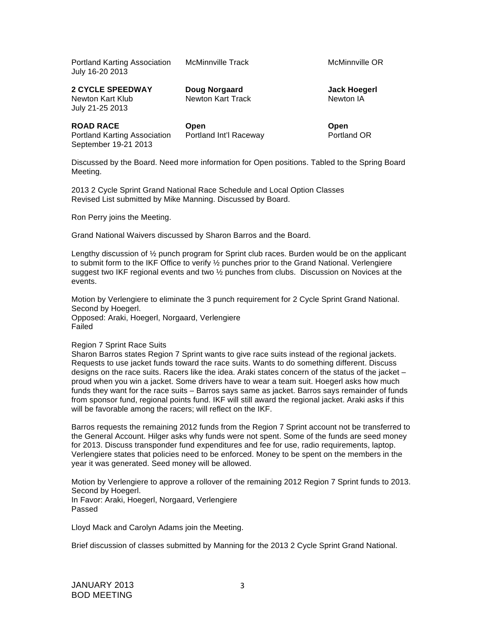Portland Karting Association McMinnville Track McMinnville OR July 16-20 2013

**2 CYCLE SPEEDWAY Doug Norgaard Jack Hoegerl**  Newton Kart Klub Newton Kart Track Newton IA July 21-25 2013

**ROAD RACE Open Open**  Portland Karting Association Portland Int'l Raceway September 19-21 2013

Discussed by the Board. Need more information for Open positions. Tabled to the Spring Board Meeting.

2013 2 Cycle Sprint Grand National Race Schedule and Local Option Classes Revised List submitted by Mike Manning. Discussed by Board.

Ron Perry joins the Meeting.

Grand National Waivers discussed by Sharon Barros and the Board.

Lengthy discussion of ½ punch program for Sprint club races. Burden would be on the applicant to submit form to the IKF Office to verify ½ punches prior to the Grand National. Verlengiere suggest two IKF regional events and two ½ punches from clubs. Discussion on Novices at the events.

Motion by Verlengiere to eliminate the 3 punch requirement for 2 Cycle Sprint Grand National. Second by Hoegerl.

Opposed: Araki, Hoegerl, Norgaard, Verlengiere Failed

Region 7 Sprint Race Suits

Sharon Barros states Region 7 Sprint wants to give race suits instead of the regional jackets. Requests to use jacket funds toward the race suits. Wants to do something different. Discuss designs on the race suits. Racers like the idea. Araki states concern of the status of the jacket – proud when you win a jacket. Some drivers have to wear a team suit. Hoegerl asks how much funds they want for the race suits – Barros says same as jacket. Barros says remainder of funds from sponsor fund, regional points fund. IKF will still award the regional jacket. Araki asks if this will be favorable among the racers; will reflect on the IKF.

Barros requests the remaining 2012 funds from the Region 7 Sprint account not be transferred to the General Account. Hilger asks why funds were not spent. Some of the funds are seed money for 2013. Discuss transponder fund expenditures and fee for use, radio requirements, laptop. Verlengiere states that policies need to be enforced. Money to be spent on the members in the year it was generated. Seed money will be allowed.

Motion by Verlengiere to approve a rollover of the remaining 2012 Region 7 Sprint funds to 2013. Second by Hoegerl. In Favor: Araki, Hoegerl, Norgaard, Verlengiere Passed

Lloyd Mack and Carolyn Adams join the Meeting.

Brief discussion of classes submitted by Manning for the 2013 2 Cycle Sprint Grand National.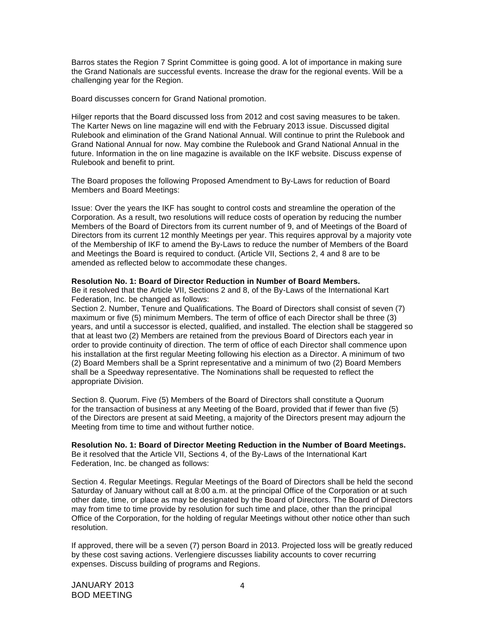Barros states the Region 7 Sprint Committee is going good. A lot of importance in making sure the Grand Nationals are successful events. Increase the draw for the regional events. Will be a challenging year for the Region.

Board discusses concern for Grand National promotion.

Hilger reports that the Board discussed loss from 2012 and cost saving measures to be taken. The Karter News on line magazine will end with the February 2013 issue. Discussed digital Rulebook and elimination of the Grand National Annual. Will continue to print the Rulebook and Grand National Annual for now. May combine the Rulebook and Grand National Annual in the future. Information in the on line magazine is available on the IKF website. Discuss expense of Rulebook and benefit to print.

The Board proposes the following Proposed Amendment to By-Laws for reduction of Board Members and Board Meetings:

Issue: Over the years the IKF has sought to control costs and streamline the operation of the Corporation. As a result, two resolutions will reduce costs of operation by reducing the number Members of the Board of Directors from its current number of 9, and of Meetings of the Board of Directors from its current 12 monthly Meetings per year. This requires approval by a majority vote of the Membership of IKF to amend the By-Laws to reduce the number of Members of the Board and Meetings the Board is required to conduct. (Article VII, Sections 2, 4 and 8 are to be amended as reflected below to accommodate these changes.

#### **Resolution No. 1: Board of Director Reduction in Number of Board Members.**

Be it resolved that the Article VII, Sections 2 and 8, of the By-Laws of the International Kart Federation, Inc. be changed as follows:

Section 2. Number, Tenure and Qualifications. The Board of Directors shall consist of seven (7) maximum or five (5) minimum Members. The term of office of each Director shall be three (3) years, and until a successor is elected, qualified, and installed. The election shall be staggered so that at least two (2) Members are retained from the previous Board of Directors each year in order to provide continuity of direction. The term of office of each Director shall commence upon his installation at the first regular Meeting following his election as a Director. A minimum of two (2) Board Members shall be a Sprint representative and a minimum of two (2) Board Members shall be a Speedway representative. The Nominations shall be requested to reflect the appropriate Division.

Section 8. Quorum. Five (5) Members of the Board of Directors shall constitute a Quorum for the transaction of business at any Meeting of the Board, provided that if fewer than five (5) of the Directors are present at said Meeting, a majority of the Directors present may adjourn the Meeting from time to time and without further notice.

**Resolution No. 1: Board of Director Meeting Reduction in the Number of Board Meetings.**  Be it resolved that the Article VII, Sections 4, of the By-Laws of the International Kart Federation, Inc. be changed as follows:

Section 4. Regular Meetings. Regular Meetings of the Board of Directors shall be held the second Saturday of January without call at 8:00 a.m. at the principal Office of the Corporation or at such other date, time, or place as may be designated by the Board of Directors. The Board of Directors may from time to time provide by resolution for such time and place, other than the principal Office of the Corporation, for the holding of regular Meetings without other notice other than such resolution.

If approved, there will be a seven (7) person Board in 2013. Projected loss will be greatly reduced by these cost saving actions. Verlengiere discusses liability accounts to cover recurring expenses. Discuss building of programs and Regions.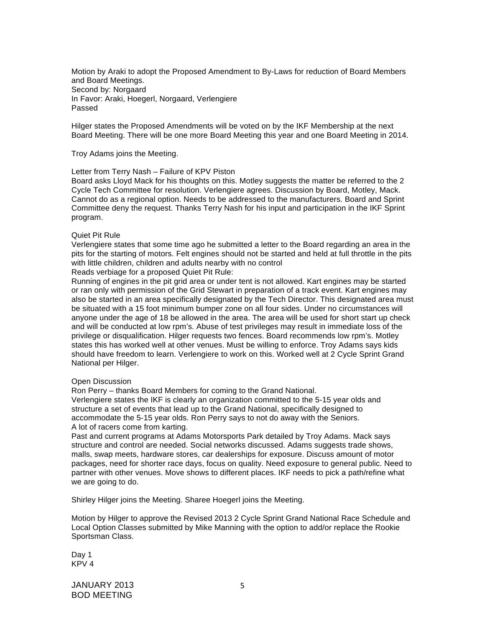Motion by Araki to adopt the Proposed Amendment to By-Laws for reduction of Board Members and Board Meetings. Second by: Norgaard In Favor: Araki, Hoegerl, Norgaard, Verlengiere Passed

Hilger states the Proposed Amendments will be voted on by the IKF Membership at the next Board Meeting. There will be one more Board Meeting this year and one Board Meeting in 2014.

Troy Adams joins the Meeting.

## Letter from Terry Nash – Failure of KPV Piston

Board asks Lloyd Mack for his thoughts on this. Motley suggests the matter be referred to the 2 Cycle Tech Committee for resolution. Verlengiere agrees. Discussion by Board, Motley, Mack. Cannot do as a regional option. Needs to be addressed to the manufacturers. Board and Sprint Committee deny the request. Thanks Terry Nash for his input and participation in the IKF Sprint program.

#### Quiet Pit Rule

Verlengiere states that some time ago he submitted a letter to the Board regarding an area in the pits for the starting of motors. Felt engines should not be started and held at full throttle in the pits with little children, children and adults nearby with no control

Reads verbiage for a proposed Quiet Pit Rule:

Running of engines in the pit grid area or under tent is not allowed. Kart engines may be started or ran only with permission of the Grid Stewart in preparation of a track event. Kart engines may also be started in an area specifically designated by the Tech Director. This designated area must be situated with a 15 foot minimum bumper zone on all four sides. Under no circumstances will anyone under the age of 18 be allowed in the area. The area will be used for short start up check and will be conducted at low rpm's. Abuse of test privileges may result in immediate loss of the privilege or disqualification. Hilger requests two fences. Board recommends low rpm's. Motley states this has worked well at other venues. Must be willing to enforce. Troy Adams says kids should have freedom to learn. Verlengiere to work on this. Worked well at 2 Cycle Sprint Grand National per Hilger.

#### Open Discussion

Ron Perry – thanks Board Members for coming to the Grand National. Verlengiere states the IKF is clearly an organization committed to the 5-15 year olds and structure a set of events that lead up to the Grand National, specifically designed to accommodate the 5-15 year olds. Ron Perry says to not do away with the Seniors. A lot of racers come from karting.

Past and current programs at Adams Motorsports Park detailed by Troy Adams. Mack says structure and control are needed. Social networks discussed. Adams suggests trade shows, malls, swap meets, hardware stores, car dealerships for exposure. Discuss amount of motor packages, need for shorter race days, focus on quality. Need exposure to general public. Need to partner with other venues. Move shows to different places. IKF needs to pick a path/refine what we are going to do.

Shirley Hilger joins the Meeting. Sharee Hoegerl joins the Meeting.

Motion by Hilger to approve the Revised 2013 2 Cycle Sprint Grand National Race Schedule and Local Option Classes submitted by Mike Manning with the option to add/or replace the Rookie Sportsman Class.

Day 1 KPV 4

JANUARY 2013 BOD MEETING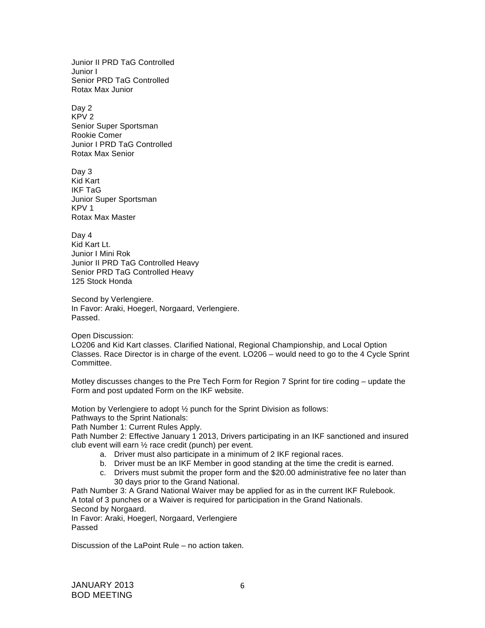Junior II PRD TaG Controlled Junior I Senior PRD TaG Controlled Rotax Max Junior

Day 2 KPV 2 Senior Super Sportsman Rookie Comer Junior I PRD TaG Controlled Rotax Max Senior

Day 3 Kid Kart IKF TaG Junior Super Sportsman KPV 1 Rotax Max Master

Day 4 Kid Kart Lt. Junior I Mini Rok Junior II PRD TaG Controlled Heavy Senior PRD TaG Controlled Heavy 125 Stock Honda

Second by Verlengiere. In Favor: Araki, Hoegerl, Norgaard, Verlengiere. Passed.

Open Discussion:

LO206 and Kid Kart classes. Clarified National, Regional Championship, and Local Option Classes. Race Director is in charge of the event. LO206 – would need to go to the 4 Cycle Sprint Committee.

Motley discusses changes to the Pre Tech Form for Region 7 Sprint for tire coding – update the Form and post updated Form on the IKF website.

Motion by Verlengiere to adopt ½ punch for the Sprint Division as follows:

Pathways to the Sprint Nationals:

Path Number 1: Current Rules Apply.

Path Number 2: Effective January 1 2013, Drivers participating in an IKF sanctioned and insured club event will earn ½ race credit (punch) per event.

- a. Driver must also participate in a minimum of 2 IKF regional races.
- b. Driver must be an IKF Member in good standing at the time the credit is earned.
- c. Drivers must submit the proper form and the \$20.00 administrative fee no later than 30 days prior to the Grand National.

Path Number 3: A Grand National Waiver may be applied for as in the current IKF Rulebook. A total of 3 punches or a Waiver is required for participation in the Grand Nationals. Second by Norgaard.

In Favor: Araki, Hoegerl, Norgaard, Verlengiere Passed

Discussion of the LaPoint Rule – no action taken.